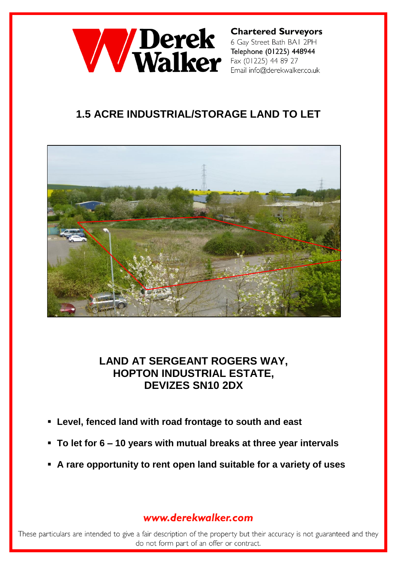

**Chartered Surveyors** 6 Gay Street Bath BAI 2PH Telephone (01225) 448944 Fax (01225) 44 89 27 Email info@derekwalker.co.uk

# **1.5 ACRE INDUSTRIAL/STORAGE LAND TO LET**



## **LAND AT SERGEANT ROGERS WAY, HOPTON INDUSTRIAL ESTATE, DEVIZES SN10 2DX**

- **Level, fenced land with road frontage to south and east**
- **To let for 6 – 10 years with mutual breaks at three year intervals**
- **A rare opportunity to rent open land suitable for a variety of uses**

### www.derekwalker.com

These particulars are intended to give a fair description of the property but their accuracy is not guaranteed and they do not form part of an offer or contract.